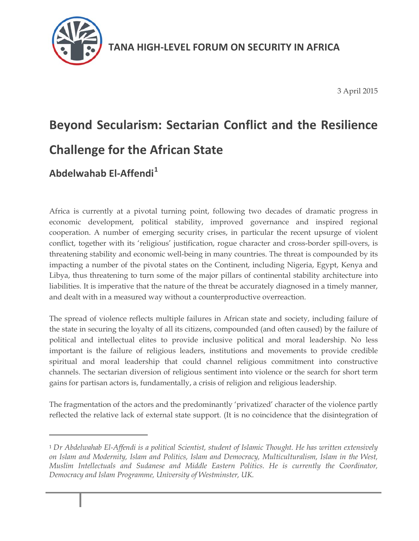

3 April 2015

# **Beyond Secularism: Sectarian Conflict and the Resilience Challenge for the African State**

## **Abdelwahab El-Affendi<sup>1</sup>**

Africa is currently at a pivotal turning point, following two decades of dramatic progress in economic development, political stability, improved governance and inspired regional cooperation. A number of emerging security crises, in particular the recent upsurge of violent conflict, together with its 'religious' justification, rogue character and cross-border spill-overs, is threatening stability and economic well-being in many countries. The threat is compounded by its impacting a number of the pivotal states on the Continent, including Nigeria, Egypt, Kenya and Libya, thus threatening to turn some of the major pillars of continental stability architecture into liabilities. It is imperative that the nature of the threat be accurately diagnosed in a timely manner, and dealt with in a measured way without a counterproductive overreaction.

The spread of violence reflects multiple failures in African state and society, including failure of the state in securing the loyalty of all its citizens, compounded (and often caused) by the failure of political and intellectual elites to provide inclusive political and moral leadership. No less important is the failure of religious leaders, institutions and movements to provide credible spiritual and moral leadership that could channel religious commitment into constructive channels. The sectarian diversion of religious sentiment into violence or the search for short term gains for partisan actors is, fundamentally, a crisis of religion and religious leadership.

The fragmentation of the actors and the predominantly 'privatized' character of the violence partly reflected the relative lack of external state support. (It is no coincidence that the disintegration of

 $\overline{a}$ 

<sup>1</sup> *Dr Abdelwahab El-Affendi is a political Scientist, student of Islamic Thought. He has written extensively on Islam and Modernity, Islam and Politics, Islam and Democracy, Multiculturalism, Islam in the West, Muslim Intellectuals and Sudanese and Middle Eastern Politics. He is currently the Coordinator, Democracy and Islam Programme, University of Westminster, UK.*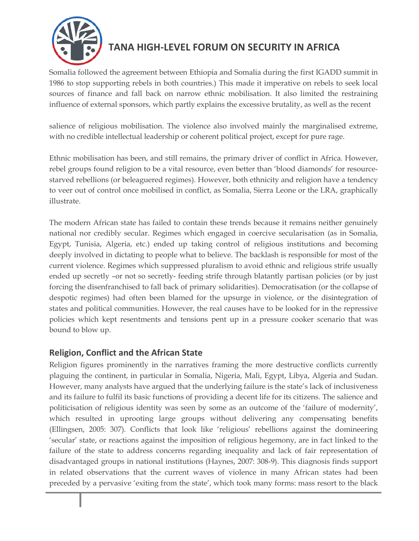

Somalia followed the agreement between Ethiopia and Somalia during the first IGADD summit in 1986 to stop supporting rebels in both countries.) This made it imperative on rebels to seek local sources of finance and fall back on narrow ethnic mobilisation. It also limited the restraining influence of external sponsors, which partly explains the excessive brutality, as well as the recent

salience of religious mobilisation. The violence also involved mainly the marginalised extreme, with no credible intellectual leadership or coherent political project, except for pure rage.

Ethnic mobilisation has been, and still remains, the primary driver of conflict in Africa. However, rebel groups found religion to be a vital resource, even better than 'blood diamonds' for resourcestarved rebellions (or beleaguered regimes). However, both ethnicity and religion have a tendency to veer out of control once mobilised in conflict, as Somalia, Sierra Leone or the LRA, graphically illustrate.

The modern African state has failed to contain these trends because it remains neither genuinely national nor credibly secular. Regimes which engaged in coercive secularisation (as in Somalia, Egypt, Tunisia, Algeria, etc.) ended up taking control of religious institutions and becoming deeply involved in dictating to people what to believe. The backlash is responsible for most of the current violence. Regimes which suppressed pluralism to avoid ethnic and religious strife usually ended up secretly –or not so secretly- feeding strife through blatantly partisan policies (or by just forcing the disenfranchised to fall back of primary solidarities). Democratisation (or the collapse of despotic regimes) had often been blamed for the upsurge in violence, or the disintegration of states and political communities. However, the real causes have to be looked for in the repressive policies which kept resentments and tensions pent up in a pressure cooker scenario that was bound to blow up.

#### **Religion, Conflict and the African State**

Religion figures prominently in the narratives framing the more destructive conflicts currently plaguing the continent, in particular in Somalia, Nigeria, Mali, Egypt, Libya, Algeria and Sudan. However, many analysts have argued that the underlying failure is the state's lack of inclusiveness and its failure to fulfil its basic functions of providing a decent life for its citizens. The salience and politicisation of religious identity was seen by some as an outcome of the 'failure of modernity', which resulted in uprooting large groups without delivering any compensating benefits (Ellingsen, 2005: 307). Conflicts that look like 'religious' rebellions against the domineering 'secular' state, or reactions against the imposition of religious hegemony, are in fact linked to the failure of the state to address concerns regarding inequality and lack of fair representation of disadvantaged groups in national institutions (Haynes, 2007: 308-9). This diagnosis finds support in related observations that the current waves of violence in many African states had been preceded by a pervasive 'exiting from the state', which took many forms: mass resort to the black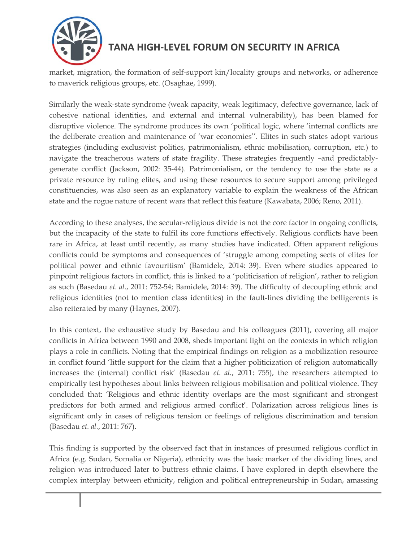

market, migration, the formation of self-support kin/locality groups and networks, or adherence to maverick religious groups, etc. (Osaghae, 1999).

Similarly the weak-state syndrome (weak capacity, weak legitimacy, defective governance, lack of cohesive national identities, and external and internal vulnerability), has been blamed for disruptive violence. The syndrome produces its own 'political logic, where 'internal conflicts are the deliberate creation and maintenance of 'war economies''. Elites in such states adopt various strategies (including exclusivist politics, patrimonialism, ethnic mobilisation, corruption, etc.) to navigate the treacherous waters of state fragility. These strategies frequently –and predictablygenerate conflict (Jackson, 2002: 35-44). Patrimonialism, or the tendency to use the state as a private resource by ruling elites, and using these resources to secure support among privileged constituencies, was also seen as an explanatory variable to explain the weakness of the African state and the rogue nature of recent wars that reflect this feature (Kawabata, 2006; Reno, 2011).

According to these analyses, the secular-religious divide is not the core factor in ongoing conflicts, but the incapacity of the state to fulfil its core functions effectively. Religious conflicts have been rare in Africa, at least until recently, as many studies have indicated. Often apparent religious conflicts could be symptoms and consequences of 'struggle among competing sects of elites for political power and ethnic favouritism' (Bamidele, 2014: 39). Even where studies appeared to pinpoint religious factors in conflict, this is linked to a 'politicisation of religion', rather to religion as such (Basedau *et. al.*, 2011: 752-54; Bamidele, 2014: 39). The difficulty of decoupling ethnic and religious identities (not to mention class identities) in the fault-lines dividing the belligerents is also reiterated by many (Haynes, 2007).

In this context, the exhaustive study by Basedau and his colleagues (2011), covering all major conflicts in Africa between 1990 and 2008, sheds important light on the contexts in which religion plays a role in conflicts. Noting that the empirical findings on religion as a mobilization resource in conflict found 'little support for the claim that a higher politicization of religion automatically increases the (internal) conflict risk' (Basedau *et. al.*, 2011: 755), the researchers attempted to empirically test hypotheses about links between religious mobilisation and political violence. They concluded that: 'Religious and ethnic identity overlaps are the most significant and strongest predictors for both armed and religious armed conflict'. Polarization across religious lines is significant only in cases of religious tension or feelings of religious discrimination and tension (Basedau *et. al.*, 2011: 767).

This finding is supported by the observed fact that in instances of presumed religious conflict in Africa (e.g. Sudan, Somalia or Nigeria), ethnicity was the basic marker of the dividing lines, and religion was introduced later to buttress ethnic claims. I have explored in depth elsewhere the complex interplay between ethnicity, religion and political entrepreneurship in Sudan, amassing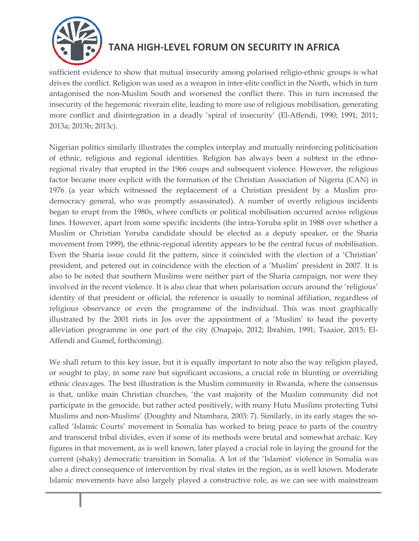

sufficient evidence to show that mutual insecurity among polarised religio-ethnic groups is what drives the conflict. Religion was used as a weapon in inter-elite conflict in the North, which in turn antagonised the non-Muslim South and worsened the conflict there. This in turn increased the insecurity of the hegemonic riverain elite, leading to more use of religious mobilisation, generating more conflict and disintegration in a deadly 'spiral of insecurity' (El-Affendi, 1990; 1991; 2011; 2013a; 2013b; 2013c).

Nigerian politics similarly illustrates the complex interplay and mutually reinforcing politicisation of ethnic, religious and regional identities. Religion has always been a subtext in the ethnoregional rivalry that erupted in the 1966 coups and subsequent violence. However, the religious factor became more explicit with the formation of the Christian Association of Nigeria (CAN) in 1976 (a year which witnessed the replacement of a Christian president by a Muslim prodemocracy general, who was promptly assassinated). A number of overtly religious incidents began to erupt from the 1980s, where conflicts or political mobilisation occurred across religious lines. However, apart from some specific incidents (the intra-Yoruba split in 1988 over whether a Muslim or Christian Yoruba candidate should be elected as a deputy speaker, or the Sharia movement from 1999), the ethnic-regional identity appears to be the central focus of mobilisation. Even the Sharia issue could fit the pattern, since it coincided with the election of a 'Christian' president, and petered out in coincidence with the election of a 'Muslim' president in 2007. It is also to be noted that southern Muslims were neither part of the Sharia campaign, nor were they involved in the recent violence. It is also clear that when polarisation occurs around the 'religious' identity of that president or official, the reference is usually to nominal affiliation, regardless of religious observance or even the programme of the individual. This was most graphically illustrated by the 2001 riots in Jos over the appointment of a 'Muslim' to head the poverty alleviation programme in one part of the city (Onapajo, 2012; Ibrahim, 1991; Tsaaior, 2015; El-Affendi and Gumel, forthcoming).

We shall return to this key issue, but it is equally important to note also the way religion played, or sought to play, in some rare but significant occasions, a crucial role in blunting or overriding ethnic cleavages. The best illustration is the Muslim community in Rwanda, where the consensus is that, unlike main Christian churches, 'the vast majority of the Muslim community did not participate in the genocide, but rather acted positively, with many Hutu Muslims protecting Tutsi Muslims and non-Muslims' (Doughty and Ntambara, 2003: 7). Similarly, in its early stages the socalled 'Islamic Courts' movement in Somalia has worked to bring peace to parts of the country and transcend tribal divides, even if some of its methods were brutal and somewhat archaic. Key figures in that movement, as is well known, later played a crucial role in laying the ground for the current (shaky) democratic transition in Somalia. A lot of the 'Islamist' violence in Somalia was also a direct consequence of intervention by rival states in the region, as is well known. Moderate Islamic movements have also largely played a constructive role, as we can see with mainstream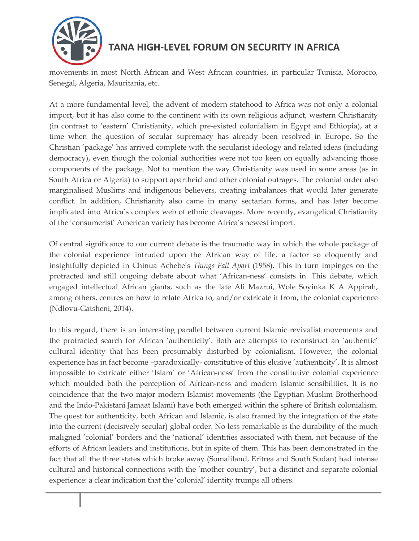

movements in most North African and West African countries, in particular Tunisia, Morocco, Senegal, Algeria, Mauritania, etc.

At a more fundamental level, the advent of modern statehood to Africa was not only a colonial import, but it has also come to the continent with its own religious adjunct, western Christianity (in contrast to 'eastern' Christianity, which pre-existed colonialism in Egypt and Ethiopia), at a time when the question of secular supremacy has already been resolved in Europe. So the Christian 'package' has arrived complete with the secularist ideology and related ideas (including democracy), even though the colonial authorities were not too keen on equally advancing those components of the package. Not to mention the way Christianity was used in some areas (as in South Africa or Algeria) to support apartheid and other colonial outrages. The colonial order also marginalised Muslims and indigenous believers, creating imbalances that would later generate conflict. In addition, Christianity also came in many sectarian forms, and has later become implicated into Africa's complex web of ethnic cleavages. More recently, evangelical Christianity of the 'consumerist' American variety has become Africa's newest import.

Of central significance to our current debate is the traumatic way in which the whole package of the colonial experience intruded upon the African way of life, a factor so eloquently and insightfully depicted in Chinua Achebe's *Things Fall Apart* (1958). This in turn impinges on the protracted and still ongoing debate about what 'African-ness' consists in. This debate, which engaged intellectual African giants, such as the late Ali Mazrui, Wole Soyinka K A Appirah, among others, centres on how to relate Africa to, and/or extricate it from, the colonial experience (Ndlovu-Gatsheni, 2014).

In this regard, there is an interesting parallel between current Islamic revivalist movements and the protracted search for African 'authenticity'. Both are attempts to reconstruct an 'authentic' cultural identity that has been presumably disturbed by colonialism. However, the colonial experience has in fact become –paradoxically- constitutive of this elusive 'authenticity'. It is almost impossible to extricate either 'Islam' or 'African-ness' from the constitutive colonial experience which moulded both the perception of African-ness and modern Islamic sensibilities. It is no coincidence that the two major modern Islamist movements (the Egyptian Muslim Brotherhood and the Indo-Pakistani Jamaat Islami) have both emerged within the sphere of British colonialism. The quest for authenticity, both African and Islamic, is also framed by the integration of the state into the current (decisively secular) global order. No less remarkable is the durability of the much maligned 'colonial' borders and the 'national' identities associated with them, not because of the efforts of African leaders and institutions, but in spite of them. This has been demonstrated in the fact that all the three states which broke away (Somaliland, Eritrea and South Sudan) had intense cultural and historical connections with the 'mother country', but a distinct and separate colonial experience: a clear indication that the 'colonial' identity trumps all others.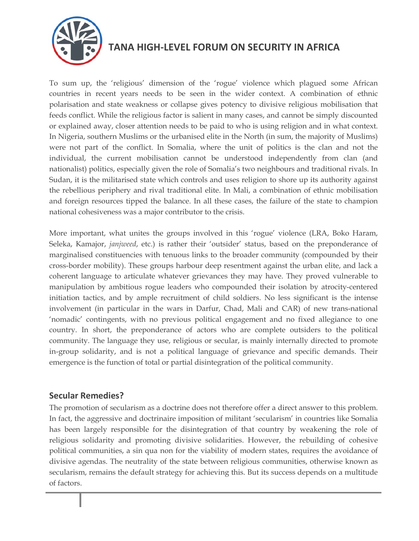

To sum up, the 'religious' dimension of the 'rogue' violence which plagued some African countries in recent years needs to be seen in the wider context. A combination of ethnic polarisation and state weakness or collapse gives potency to divisive religious mobilisation that feeds conflict. While the religious factor is salient in many cases, and cannot be simply discounted or explained away, closer attention needs to be paid to who is using religion and in what context. In Nigeria, southern Muslims or the urbanised elite in the North (in sum, the majority of Muslims) were not part of the conflict. In Somalia, where the unit of politics is the clan and not the individual, the current mobilisation cannot be understood independently from clan (and nationalist) politics, especially given the role of Somalia's two neighbours and traditional rivals. In Sudan, it is the militarised state which controls and uses religion to shore up its authority against the rebellious periphery and rival traditional elite. In Mali, a combination of ethnic mobilisation and foreign resources tipped the balance. In all these cases, the failure of the state to champion national cohesiveness was a major contributor to the crisis.

More important, what unites the groups involved in this 'rogue' violence (LRA, Boko Haram, Seleka, Kamajor, *janjweed*, etc.) is rather their 'outsider' status, based on the preponderance of marginalised constituencies with tenuous links to the broader community (compounded by their cross-border mobility). These groups harbour deep resentment against the urban elite, and lack a coherent language to articulate whatever grievances they may have. They proved vulnerable to manipulation by ambitious rogue leaders who compounded their isolation by atrocity-centered initiation tactics, and by ample recruitment of child soldiers. No less significant is the intense involvement (in particular in the wars in Darfur, Chad, Mali and CAR) of new trans-national 'nomadic' contingents, with no previous political engagement and no fixed allegiance to one country. In short, the preponderance of actors who are complete outsiders to the political community. The language they use, religious or secular, is mainly internally directed to promote in-group solidarity, and is not a political language of grievance and specific demands. Their emergence is the function of total or partial disintegration of the political community.

#### **Secular Remedies?**

The promotion of secularism as a doctrine does not therefore offer a direct answer to this problem. In fact, the aggressive and doctrinaire imposition of militant 'secularism' in countries like Somalia has been largely responsible for the disintegration of that country by weakening the role of religious solidarity and promoting divisive solidarities. However, the rebuilding of cohesive political communities, a sin qua non for the viability of modern states, requires the avoidance of divisive agendas. The neutrality of the state between religious communities, otherwise known as secularism, remains the default strategy for achieving this. But its success depends on a multitude of factors.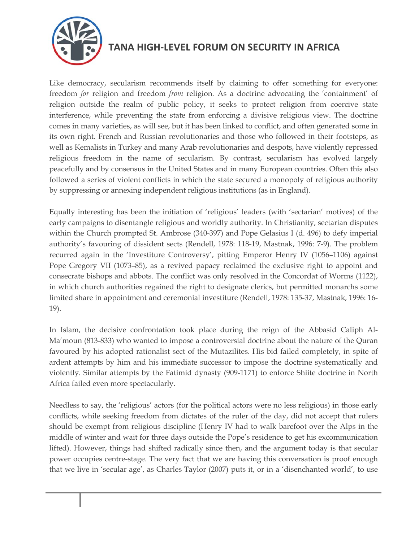

Like democracy, secularism recommends itself by claiming to offer something for everyone: freedom *for* religion and freedom *from* religion. As a doctrine advocating the 'containment' of religion outside the realm of public policy, it seeks to protect religion from coercive state interference, while preventing the state from enforcing a divisive religious view. The doctrine comes in many varieties, as will see, but it has been linked to conflict, and often generated some in its own right. French and Russian revolutionaries and those who followed in their footsteps, as well as Kemalists in Turkey and many Arab revolutionaries and despots, have violently repressed religious freedom in the name of secularism. By contrast, secularism has evolved largely peacefully and by consensus in the United States and in many European countries. Often this also followed a series of violent conflicts in which the state secured a monopoly of religious authority by suppressing or annexing independent religious institutions (as in England).

Equally interesting has been the initiation of 'religious' leaders (with 'sectarian' motives) of the early campaigns to disentangle religious and worldly authority. In Christianity, sectarian disputes within the Church prompted St. Ambrose (340-397) and Pope Gelasius I (d. 496) to defy imperial authority's favouring of dissident sects (Rendell, 1978: 118-19, Mastnak, 1996: 7-9). The problem recurred again in the 'Investiture Controversy', pitting Emperor Henry IV (1056–1106) against Pope Gregory VII (1073–85), as a revived papacy reclaimed the exclusive right to appoint and consecrate bishops and abbots. The conflict was only resolved in the Concordat of Worms (1122), in which church authorities regained the right to designate clerics, but permitted monarchs some limited share in appointment and ceremonial investiture (Rendell, 1978: 135-37, Mastnak, 1996: 16- 19).

In Islam, the decisive confrontation took place during the reign of the Abbasid Caliph Al-Ma'moun (813-833) who wanted to impose a controversial doctrine about the nature of the Quran favoured by his adopted rationalist sect of the Mutazilites. His bid failed completely, in spite of ardent attempts by him and his immediate successor to impose the doctrine systematically and violently. Similar attempts by the Fatimid dynasty (909-1171) to enforce Shiite doctrine in North Africa failed even more spectacularly.

Needless to say, the 'religious' actors (for the political actors were no less religious) in those early conflicts, while seeking freedom from dictates of the ruler of the day, did not accept that rulers should be exempt from religious discipline (Henry IV had to walk barefoot over the Alps in the middle of winter and wait for three days outside the Pope's residence to get his excommunication lifted). However, things had shifted radically since then, and the argument today is that secular power occupies centre-stage. The very fact that we are having this conversation is proof enough that we live in 'secular age', as Charles Taylor (2007) puts it, or in a 'disenchanted world', to use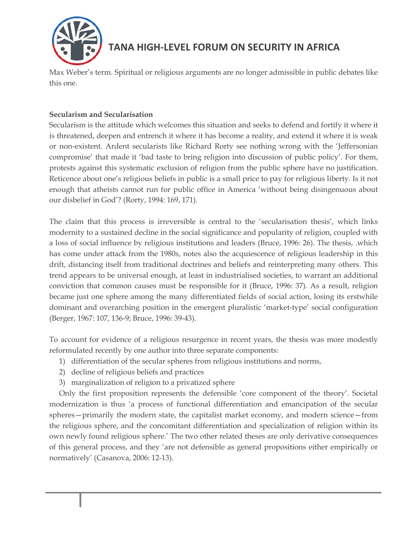

Max Weber's term. Spiritual or religious arguments are no longer admissible in public debates like this one.

#### **Secularism and Secularisation**

Secularism is the attitude which welcomes this situation and seeks to defend and fortify it where it is threatened, deepen and entrench it where it has become a reality, and extend it where it is weak or non-existent. Ardent secularists like Richard Rorty see nothing wrong with the 'Jeffersonian compromise' that made it 'bad taste to bring religion into discussion of public policy'. For them, protests against this systematic exclusion of religion from the public sphere have no justification. Reticence about one's religious beliefs in public is a small price to pay for religious liberty. Is it not enough that atheists cannot run for public office in America 'without being disingenuous about our disbelief in God'? (Rorty, 1994: 169, 171).

The claim that this process is irreversible is central to the 'secularisation thesis', which links modernity to a sustained decline in the social significance and popularity of religion, coupled with a loss of social influence by religious institutions and leaders (Bruce, 1996: 26). The thesis, .which has come under attack from the 1980s, notes also the acquiescence of religious leadership in this drift, distancing itself from traditional doctrines and beliefs and reinterpreting many others. This trend appears to be universal enough, at least in industrialised societies, to warrant an additional conviction that common causes must be responsible for it (Bruce, 1996: 37). As a result, religion became just one sphere among the many differentiated fields of social action, losing its erstwhile dominant and overarching position in the emergent pluralistic 'market-type' social configuration (Berger, 1967: 107, 136-9; Bruce, 1996: 39-43).

To account for evidence of a religious resurgence in recent years, the thesis was more modestly reformulated recently by one author into three separate components:

- 1) differentiation of the secular spheres from religious institutions and norms,
- 2) decline of religious beliefs and practices
- 3) marginalization of religion to a privatized sphere

Only the first proposition represents the defensible 'core component of the theory'. Societal modernization is thus 'a process of functional differentiation and emancipation of the secular spheres—primarily the modern state, the capitalist market economy, and modern science—from the religious sphere, and the concomitant differentiation and specialization of religion within its own newly found religious sphere.' The two other related theses are only derivative consequences of this general process, and they 'are not defensible as general propositions either empirically or normatively' (Casanova, 2006: 12-13).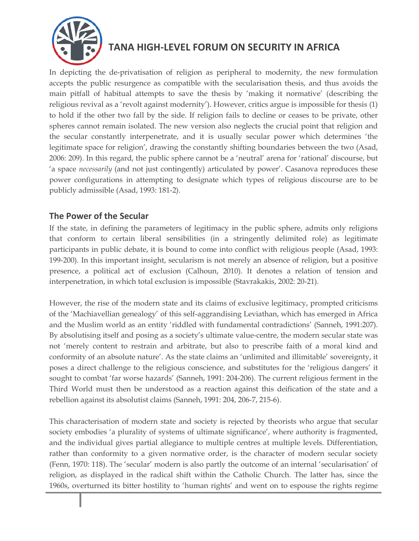

In depicting the de-privatisation of religion as peripheral to modernity, the new formulation accepts the public resurgence as compatible with the secularisation thesis, and thus avoids the main pitfall of habitual attempts to save the thesis by 'making it normative' (describing the religious revival as a 'revolt against modernity'). However, critics argue is impossible for thesis (1) to hold if the other two fall by the side. If religion fails to decline or ceases to be private, other spheres cannot remain isolated. The new version also neglects the crucial point that religion and the secular constantly interpenetrate, and it is usually secular power which determines 'the legitimate space for religion', drawing the constantly shifting boundaries between the two (Asad, 2006: 209). In this regard, the public sphere cannot be a 'neutral' arena for 'rational' discourse, but 'a space *necessarily* (and not just contingently) articulated by power'. Casanova reproduces these power configurations in attempting to designate which types of religious discourse are to be publicly admissible (Asad, 1993: 181-2).

#### **The Power of the Secular**

If the state, in defining the parameters of legitimacy in the public sphere, admits only religions that conform to certain liberal sensibilities (in a stringently delimited role) as legitimate participants in public debate, it is bound to come into conflict with religious people (Asad, 1993: 199-200). In this important insight, secularism is not merely an absence of religion, but a positive presence, a political act of exclusion (Calhoun, 2010). It denotes a relation of tension and interpenetration, in which total exclusion is impossible (Stavrakakis, 2002: 20-21).

However, the rise of the modern state and its claims of exclusive legitimacy, prompted criticisms of the 'Machiavellian genealogy' of this self-aggrandising Leviathan, which has emerged in Africa and the Muslim world as an entity 'riddled with fundamental contradictions' (Sanneh, 1991:207). By absolutising itself and posing as a society's ultimate value-centre, the modern secular state was not 'merely content to restrain and arbitrate, but also to prescribe faith of a moral kind and conformity of an absolute nature'. As the state claims an 'unlimited and illimitable' sovereignty, it poses a direct challenge to the religious conscience, and substitutes for the 'religious dangers' it sought to combat 'far worse hazards' (Sanneh, 1991: 204-206). The current religious ferment in the Third World must then be understood as a reaction against this deification of the state and a rebellion against its absolutist claims (Sanneh, 1991: 204, 206-7, 215-6).

This characterisation of modern state and society is rejected by theorists who argue that secular society embodies 'a plurality of systems of ultimate significance', where authority is fragmented, and the individual gives partial allegiance to multiple centres at multiple levels. Differentiation, rather than conformity to a given normative order, is the character of modern secular society (Fenn, 1970: 118). The 'secular' modern is also partly the outcome of an internal 'secularisation' of religion, as displayed in the radical shift within the Catholic Church. The latter has, since the 1960s, overturned its bitter hostility to 'human rights' and went on to espouse the rights regime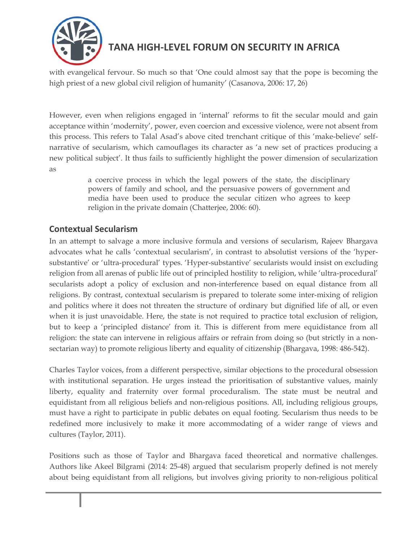

with evangelical fervour. So much so that 'One could almost say that the pope is becoming the high priest of a new global civil religion of humanity' (Casanova, 2006: 17, 26)

However, even when religions engaged in 'internal' reforms to fit the secular mould and gain acceptance within 'modernity', power, even coercion and excessive violence, were not absent from this process. This refers to Talal Asad's above cited trenchant critique of this 'make-believe' selfnarrative of secularism, which camouflages its character as 'a new set of practices producing a new political subject'. It thus fails to sufficiently highlight the power dimension of secularization as

> a coercive process in which the legal powers of the state, the disciplinary powers of family and school, and the persuasive powers of government and media have been used to produce the secular citizen who agrees to keep religion in the private domain (Chatterjee, 2006: 60).

#### **Contextual Secularism**

In an attempt to salvage a more inclusive formula and versions of secularism, Rajeev Bhargava advocates what he calls 'contextual secularism', in contrast to absolutist versions of the 'hypersubstantive' or 'ultra-procedural' types. 'Hyper-substantive' secularists would insist on excluding religion from all arenas of public life out of principled hostility to religion, while 'ultra-procedural' secularists adopt a policy of exclusion and non-interference based on equal distance from all religions. By contrast, contextual secularism is prepared to tolerate some inter-mixing of religion and politics where it does not threaten the structure of ordinary but dignified life of all, or even when it is just unavoidable. Here, the state is not required to practice total exclusion of religion, but to keep a 'principled distance' from it. This is different from mere equidistance from all religion: the state can intervene in religious affairs or refrain from doing so (but strictly in a nonsectarian way) to promote religious liberty and equality of citizenship (Bhargava, 1998: 486-542).

Charles Taylor voices, from a different perspective, similar objections to the procedural obsession with institutional separation. He urges instead the prioritisation of substantive values, mainly liberty, equality and fraternity over formal proceduralism. The state must be neutral and equidistant from all religious beliefs and non-religious positions. All, including religious groups, must have a right to participate in public debates on equal footing. Secularism thus needs to be redefined more inclusively to make it more accommodating of a wider range of views and cultures (Taylor, 2011).

Positions such as those of Taylor and Bhargava faced theoretical and normative challenges. Authors like Akeel Bilgrami (2014: 25-48) argued that secularism properly defined is not merely about being equidistant from all religions, but involves giving priority to non-religious political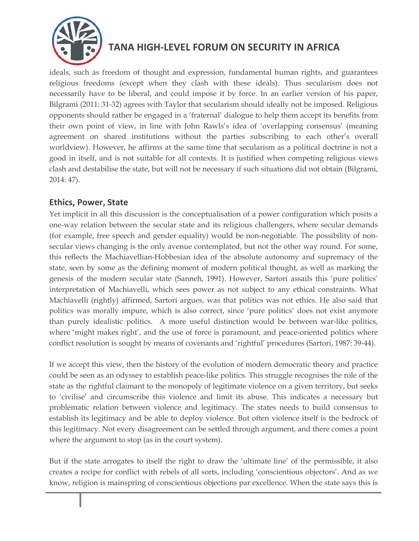

ideals, such as freedom of thought and expression, fundamental human rights, and guarantees religious freedoms (except when they clash with these ideals). Thus secularism does not necessarily have to be liberal, and could impose it by force. In an earlier version of his paper, Bilgrami (2011: 31-32) agrees with Taylor that secularism should ideally not be imposed. Religious opponents should rather be engaged in a 'fraternal' dialogue to help them accept its benefits from their own point of view, in line with John Rawls's idea of 'overlapping consensus' (meaning agreement on shared institutions without the parties subscribing to each other's overall worldview). However, he affirms at the same time that secularism as a political doctrine is not a good in itself, and is not suitable for all contexts. It is justified when competing religious views clash and destabilise the state, but will not be necessary if such situations did not obtain (Bilgrami, 2014: 47).

#### **Ethics, Power, State**

Yet implicit in all this discussion is the conceptualisation of a power configuration which posits a one-way relation between the secular state and its religious challengers, where secular demands (for example, free speech and gender equality) would be non-negotiable. The possibility of nonsecular views changing is the only avenue contemplated, but not the other way round. For some, this reflects the Machiavellian-Hobbesian idea of the absolute autonomy and supremacy of the state, seen by some as the defining moment of modern political thought, as well as marking the genesis of the modern secular state (Sanneh, 1991). However, Sartori assails this 'pure politics' interpretation of Machiavelli, which sees power as not subject to any ethical constraints. What Machiavelli (rightly) affirmed, Sartori argues, was that politics was not ethics. He also said that politics was morally impure, which is also correct, since 'pure politics' does not exist anymore than purely idealistic politics. A more useful distinction would be between war-like politics, where 'might makes right', and the use of force is paramount, and peace-oriented politics where conflict resolution is sought by means of covenants and 'rightful' procedures (Sartori, 1987: 39-44).

If we accept this view, then the history of the evolution of modern democratic theory and practice could be seen as an odyssey to establish peace-like politics. This struggle recognises the role of the state as the rightful claimant to the monopoly of legitimate violence on a given territory, but seeks to 'civilise' and circumscribe this violence and limit its abuse. This indicates a necessary but problematic relation between violence and legitimacy. The states needs to build consensus to establish its legitimacy and be able to deploy violence. But often violence itself is the bedrock of this legitimacy. Not every disagreement can be settled through argument, and there comes a point where the argument to stop (as in the court system).

But if the state arrogates to itself the right to draw the 'ultimate line' of the permissible, it also creates a recipe for conflict with rebels of all sorts, including 'conscientious objectors'. And as we know, religion is mainspring of conscientious objections par excellence. When the state says this is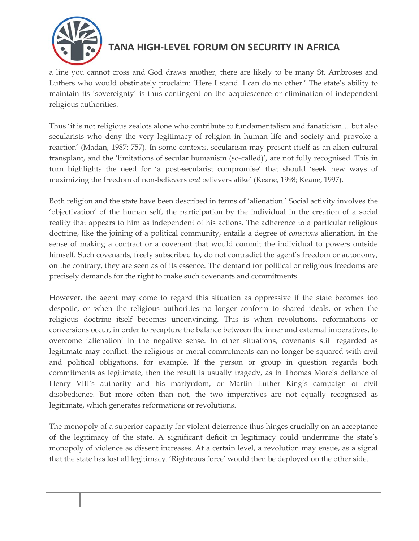

a line you cannot cross and God draws another, there are likely to be many St. Ambroses and Luthers who would obstinately proclaim: 'Here I stand. I can do no other.' The state's ability to maintain its 'sovereignty' is thus contingent on the acquiescence or elimination of independent religious authorities.

Thus 'it is not religious zealots alone who contribute to fundamentalism and fanaticism… but also secularists who deny the very legitimacy of religion in human life and society and provoke a reaction' (Madan, 1987: 757). In some contexts, secularism may present itself as an alien cultural transplant, and the 'limitations of secular humanism (so-called)', are not fully recognised. This in turn highlights the need for 'a post-secularist compromise' that should 'seek new ways of maximizing the freedom of non-believers *and* believers alike' (Keane, 1998; Keane, 1997).

Both religion and the state have been described in terms of 'alienation.' Social activity involves the 'objectivation' of the human self, the participation by the individual in the creation of a social reality that appears to him as independent of his actions. The adherence to a particular religious doctrine, like the joining of a political community, entails a degree of *conscious* alienation, in the sense of making a contract or a covenant that would commit the individual to powers outside himself. Such covenants, freely subscribed to, do not contradict the agent's freedom or autonomy, on the contrary, they are seen as of its essence. The demand for political or religious freedoms are precisely demands for the right to make such covenants and commitments.

However, the agent may come to regard this situation as oppressive if the state becomes too despotic, or when the religious authorities no longer conform to shared ideals, or when the religious doctrine itself becomes unconvincing. This is when revolutions, reformations or conversions occur, in order to recapture the balance between the inner and external imperatives, to overcome 'alienation' in the negative sense. In other situations, covenants still regarded as legitimate may conflict: the religious or moral commitments can no longer be squared with civil and political obligations, for example. If the person or group in question regards both commitments as legitimate, then the result is usually tragedy, as in Thomas More's defiance of Henry VIII's authority and his martyrdom, or Martin Luther King's campaign of civil disobedience. But more often than not, the two imperatives are not equally recognised as legitimate, which generates reformations or revolutions.

The monopoly of a superior capacity for violent deterrence thus hinges crucially on an acceptance of the legitimacy of the state. A significant deficit in legitimacy could undermine the state's monopoly of violence as dissent increases. At a certain level, a revolution may ensue, as a signal that the state has lost all legitimacy. 'Righteous force' would then be deployed on the other side.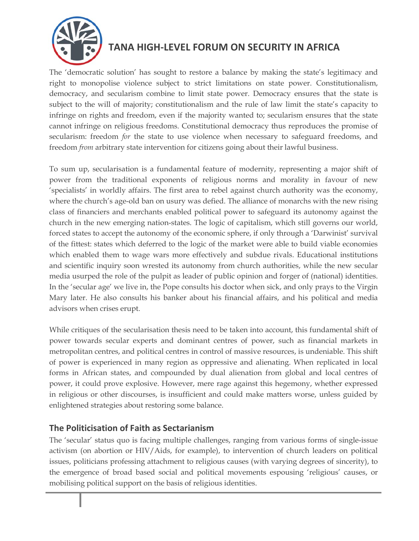

The 'democratic solution' has sought to restore a balance by making the state's legitimacy and right to monopolise violence subject to strict limitations on state power. Constitutionalism, democracy, and secularism combine to limit state power. Democracy ensures that the state is subject to the will of majority; constitutionalism and the rule of law limit the state's capacity to infringe on rights and freedom, even if the majority wanted to; secularism ensures that the state cannot infringe on religious freedoms. Constitutional democracy thus reproduces the promise of secularism: freedom *for* the state to use violence when necessary to safeguard freedoms, and freedom *from* arbitrary state intervention for citizens going about their lawful business.

To sum up, secularisation is a fundamental feature of modernity, representing a major shift of power from the traditional exponents of religious norms and morality in favour of new 'specialists' in worldly affairs. The first area to rebel against church authority was the economy, where the church's age-old ban on usury was defied. The alliance of monarchs with the new rising class of financiers and merchants enabled political power to safeguard its autonomy against the church in the new emerging nation-states. The logic of capitalism, which still governs our world, forced states to accept the autonomy of the economic sphere, if only through a 'Darwinist' survival of the fittest: states which deferred to the logic of the market were able to build viable economies which enabled them to wage wars more effectively and subdue rivals. Educational institutions and scientific inquiry soon wrested its autonomy from church authorities, while the new secular media usurped the role of the pulpit as leader of public opinion and forger of (national) identities. In the 'secular age' we live in, the Pope consults his doctor when sick, and only prays to the Virgin Mary later. He also consults his banker about his financial affairs, and his political and media advisors when crises erupt.

While critiques of the secularisation thesis need to be taken into account, this fundamental shift of power towards secular experts and dominant centres of power, such as financial markets in metropolitan centres, and political centres in control of massive resources, is undeniable. This shift of power is experienced in many region as oppressive and alienating. When replicated in local forms in African states, and compounded by dual alienation from global and local centres of power, it could prove explosive. However, mere rage against this hegemony, whether expressed in religious or other discourses, is insufficient and could make matters worse, unless guided by enlightened strategies about restoring some balance.

#### **The Politicisation of Faith as Sectarianism**

The 'secular' status quo is facing multiple challenges, ranging from various forms of single-issue activism (on abortion or HIV/Aids, for example), to intervention of church leaders on political issues, politicians professing attachment to religious causes (with varying degrees of sincerity), to the emergence of broad based social and political movements espousing 'religious' causes, or mobilising political support on the basis of religious identities.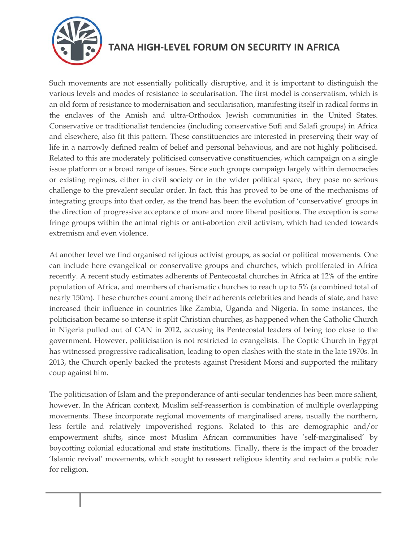

Such movements are not essentially politically disruptive, and it is important to distinguish the various levels and modes of resistance to secularisation. The first model is conservatism, which is an old form of resistance to modernisation and secularisation, manifesting itself in radical forms in the enclaves of the Amish and ultra-Orthodox Jewish communities in the United States. Conservative or traditionalist tendencies (including conservative Sufi and Salafi groups) in Africa and elsewhere, also fit this pattern. These constituencies are interested in preserving their way of life in a narrowly defined realm of belief and personal behavious, and are not highly politicised. Related to this are moderately politicised conservative constituencies, which campaign on a single issue platform or a broad range of issues. Since such groups campaign largely within democracies or existing regimes, either in civil society or in the wider political space, they pose no serious challenge to the prevalent secular order. In fact, this has proved to be one of the mechanisms of integrating groups into that order, as the trend has been the evolution of 'conservative' groups in the direction of progressive acceptance of more and more liberal positions. The exception is some fringe groups within the animal rights or anti-abortion civil activism, which had tended towards extremism and even violence.

At another level we find organised religious activist groups, as social or political movements. One can include here evangelical or conservative groups and churches, which proliferated in Africa recently. A recent study estimates adherents of Pentecostal churches in Africa at 12% of the entire population of Africa, and members of charismatic churches to reach up to 5% (a combined total of nearly 150m). These churches count among their adherents celebrities and heads of state, and have increased their influence in countries like Zambia, Uganda and Nigeria. In some instances, the politicisation became so intense it split Christian churches, as happened when the Catholic Church in Nigeria pulled out of CAN in 2012, accusing its Pentecostal leaders of being too close to the government. However, politicisation is not restricted to evangelists. The Coptic Church in Egypt has witnessed progressive radicalisation, leading to open clashes with the state in the late 1970s. In 2013, the Church openly backed the protests against President Morsi and supported the military coup against him.

The politicisation of Islam and the preponderance of anti-secular tendencies has been more salient, however. In the African context, Muslim self-reassertion is combination of multiple overlapping movements. These incorporate regional movements of marginalised areas, usually the northern, less fertile and relatively impoverished regions. Related to this are demographic and/or empowerment shifts, since most Muslim African communities have 'self-marginalised' by boycotting colonial educational and state institutions. Finally, there is the impact of the broader 'Islamic revival' movements, which sought to reassert religious identity and reclaim a public role for religion.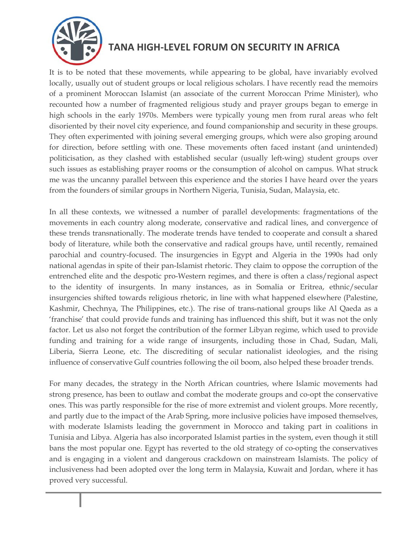

It is to be noted that these movements, while appearing to be global, have invariably evolved locally, usually out of student groups or local religious scholars. I have recently read the memoirs of a prominent Moroccan Islamist (an associate of the current Moroccan Prime Minister), who recounted how a number of fragmented religious study and prayer groups began to emerge in high schools in the early 1970s. Members were typically young men from rural areas who felt disoriented by their novel city experience, and found companionship and security in these groups. They often experimented with joining several emerging groups, which were also groping around for direction, before settling with one. These movements often faced instant (and unintended) politicisation, as they clashed with established secular (usually left-wing) student groups over such issues as establishing prayer rooms or the consumption of alcohol on campus. What struck me was the uncanny parallel between this experience and the stories I have heard over the years from the founders of similar groups in Northern Nigeria, Tunisia, Sudan, Malaysia, etc.

In all these contexts, we witnessed a number of parallel developments: fragmentations of the movements in each country along moderate, conservative and radical lines, and convergence of these trends transnationally. The moderate trends have tended to cooperate and consult a shared body of literature, while both the conservative and radical groups have, until recently, remained parochial and country-focused. The insurgencies in Egypt and Algeria in the 1990s had only national agendas in spite of their pan-Islamist rhetoric. They claim to oppose the corruption of the entrenched elite and the despotic pro-Western regimes, and there is often a class/regional aspect to the identity of insurgents. In many instances, as in Somalia or Eritrea, ethnic/secular insurgencies shifted towards religious rhetoric, in line with what happened elsewhere (Palestine, Kashmir, Chechnya, The Philippines, etc.). The rise of trans-national groups like Al Qaeda as a 'franchise' that could provide funds and training has influenced this shift, but it was not the only factor. Let us also not forget the contribution of the former Libyan regime, which used to provide funding and training for a wide range of insurgents, including those in Chad, Sudan, Mali, Liberia, Sierra Leone, etc. The discrediting of secular nationalist ideologies, and the rising influence of conservative Gulf countries following the oil boom, also helped these broader trends.

For many decades, the strategy in the North African countries, where Islamic movements had strong presence, has been to outlaw and combat the moderate groups and co-opt the conservative ones. This was partly responsible for the rise of more extremist and violent groups. More recently, and partly due to the impact of the Arab Spring, more inclusive policies have imposed themselves, with moderate Islamists leading the government in Morocco and taking part in coalitions in Tunisia and Libya. Algeria has also incorporated Islamist parties in the system, even though it still bans the most popular one. Egypt has reverted to the old strategy of co-opting the conservatives and is engaging in a violent and dangerous crackdown on mainstream Islamists. The policy of inclusiveness had been adopted over the long term in Malaysia, Kuwait and Jordan, where it has proved very successful.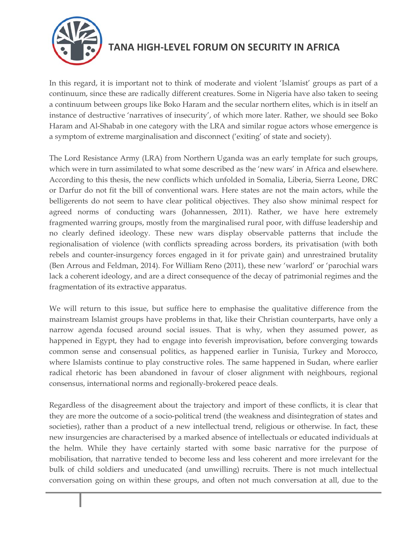

In this regard, it is important not to think of moderate and violent 'Islamist' groups as part of a continuum, since these are radically different creatures. Some in Nigeria have also taken to seeing a continuum between groups like Boko Haram and the secular northern elites, which is in itself an instance of destructive 'narratives of insecurity', of which more later. Rather, we should see Boko Haram and Al-Shabab in one category with the LRA and similar rogue actors whose emergence is a symptom of extreme marginalisation and disconnect ('exiting' of state and society).

The Lord Resistance Army (LRA) from Northern Uganda was an early template for such groups, which were in turn assimilated to what some described as the 'new wars' in Africa and elsewhere. According to this thesis, the new conflicts which unfolded in Somalia, Liberia, Sierra Leone, DRC or Darfur do not fit the bill of conventional wars. Here states are not the main actors, while the belligerents do not seem to have clear political objectives. They also show minimal respect for agreed norms of conducting wars (Johannessen, 2011). Rather, we have here extremely fragmented warring groups, mostly from the marginalised rural poor, with diffuse leadership and no clearly defined ideology. These new wars display observable patterns that include the regionalisation of violence (with conflicts spreading across borders, its privatisation (with both rebels and counter-insurgency forces engaged in it for private gain) and unrestrained brutality (Ben Arrous and Feldman, 2014). For William Reno (2011), these new 'warlord' or 'parochial wars lack a coherent ideology, and are a direct consequence of the decay of patrimonial regimes and the fragmentation of its extractive apparatus.

We will return to this issue, but suffice here to emphasise the qualitative difference from the mainstream Islamist groups have problems in that, like their Christian counterparts, have only a narrow agenda focused around social issues. That is why, when they assumed power, as happened in Egypt, they had to engage into feverish improvisation, before converging towards common sense and consensual politics, as happened earlier in Tunisia, Turkey and Morocco, where Islamists continue to play constructive roles. The same happened in Sudan, where earlier radical rhetoric has been abandoned in favour of closer alignment with neighbours, regional consensus, international norms and regionally-brokered peace deals.

Regardless of the disagreement about the trajectory and import of these conflicts, it is clear that they are more the outcome of a socio-political trend (the weakness and disintegration of states and societies), rather than a product of a new intellectual trend, religious or otherwise. In fact, these new insurgencies are characterised by a marked absence of intellectuals or educated individuals at the helm. While they have certainly started with some basic narrative for the purpose of mobilisation, that narrative tended to become less and less coherent and more irrelevant for the bulk of child soldiers and uneducated (and unwilling) recruits. There is not much intellectual conversation going on within these groups, and often not much conversation at all, due to the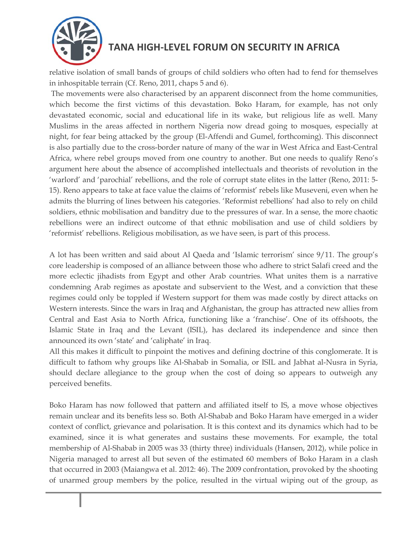

relative isolation of small bands of groups of child soldiers who often had to fend for themselves in inhospitable terrain (Cf. Reno, 2011, chaps 5 and 6).

The movements were also characterised by an apparent disconnect from the home communities, which become the first victims of this devastation. Boko Haram, for example, has not only devastated economic, social and educational life in its wake, but religious life as well. Many Muslims in the areas affected in northern Nigeria now dread going to mosques, especially at night, for fear being attacked by the group (El-Affendi and Gumel, forthcoming). This disconnect is also partially due to the cross-border nature of many of the war in West Africa and East-Central Africa, where rebel groups moved from one country to another. But one needs to qualify Reno's argument here about the absence of accomplished intellectuals and theorists of revolution in the 'warlord' and 'parochial' rebellions, and the role of corrupt state elites in the latter (Reno, 2011: 5- 15). Reno appears to take at face value the claims of 'reformist' rebels like Museveni, even when he admits the blurring of lines between his categories. 'Reformist rebellions' had also to rely on child soldiers, ethnic mobilisation and banditry due to the pressures of war. In a sense, the more chaotic rebellions were an indirect outcome of that ethnic mobilisation and use of child soldiers by 'reformist' rebellions. Religious mobilisation, as we have seen, is part of this process.

A lot has been written and said about Al Qaeda and 'Islamic terrorism' since 9/11. The group's core leadership is composed of an alliance between those who adhere to strict Salafi creed and the more eclectic jihadists from Egypt and other Arab countries. What unites them is a narrative condemning Arab regimes as apostate and subservient to the West, and a conviction that these regimes could only be toppled if Western support for them was made costly by direct attacks on Western interests. Since the wars in Iraq and Afghanistan, the group has attracted new allies from Central and East Asia to North Africa, functioning like a 'franchise'. One of its offshoots, the Islamic State in Iraq and the Levant (ISIL), has declared its independence and since then announced its own 'state' and 'caliphate' in Iraq.

All this makes it difficult to pinpoint the motives and defining doctrine of this conglomerate. It is difficult to fathom why groups like Al-Shabab in Somalia, or ISIL and Jabhat al-Nusra in Syria, should declare allegiance to the group when the cost of doing so appears to outweigh any perceived benefits.

Boko Haram has now followed that pattern and affiliated itself to IS, a move whose objectives remain unclear and its benefits less so. Both Al-Shabab and Boko Haram have emerged in a wider context of conflict, grievance and polarisation. It is this context and its dynamics which had to be examined, since it is what generates and sustains these movements. For example, the total membership of Al-Shabab in 2005 was 33 (thirty three) individuals (Hansen, 2012), while police in Nigeria managed to arrest all but seven of the estimated 60 members of Boko Haram in a clash that occurred in 2003 (Maiangwa et al. 2012: 46). The 2009 confrontation, provoked by the shooting of unarmed group members by the police, resulted in the virtual wiping out of the group, as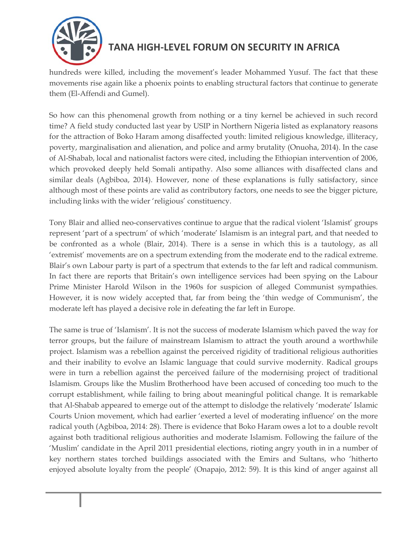

hundreds were killed, including the movement's leader Mohammed Yusuf. The fact that these movements rise again like a phoenix points to enabling structural factors that continue to generate them (El-Affendi and Gumel).

So how can this phenomenal growth from nothing or a tiny kernel be achieved in such record time? A field study conducted last year by USIP in Northern Nigeria listed as explanatory reasons for the attraction of Boko Haram among disaffected youth: limited religious knowledge, illiteracy, poverty, marginalisation and alienation, and police and army brutality (Onuoha, 2014). In the case of Al-Shabab, local and nationalist factors were cited, including the Ethiopian intervention of 2006, which provoked deeply held Somali antipathy. Also some alliances with disaffected clans and similar deals (Agbiboa, 2014). However, none of these explanations is fully satisfactory, since although most of these points are valid as contributory factors, one needs to see the bigger picture, including links with the wider 'religious' constituency.

Tony Blair and allied neo-conservatives continue to argue that the radical violent 'Islamist' groups represent 'part of a spectrum' of which 'moderate' Islamism is an integral part, and that needed to be confronted as a whole (Blair, 2014). There is a sense in which this is a tautology, as all 'extremist' movements are on a spectrum extending from the moderate end to the radical extreme. Blair's own Labour party is part of a spectrum that extends to the far left and radical communism. In fact there are reports that Britain's own intelligence services had been spying on the Labour Prime Minister Harold Wilson in the 1960s for suspicion of alleged Communist sympathies. However, it is now widely accepted that, far from being the 'thin wedge of Communism', the moderate left has played a decisive role in defeating the far left in Europe.

The same is true of 'Islamism'. It is not the success of moderate Islamism which paved the way for terror groups, but the failure of mainstream Islamism to attract the youth around a worthwhile project. Islamism was a rebellion against the perceived rigidity of traditional religious authorities and their inability to evolve an Islamic language that could survive modernity. Radical groups were in turn a rebellion against the perceived failure of the modernising project of traditional Islamism. Groups like the Muslim Brotherhood have been accused of conceding too much to the corrupt establishment, while failing to bring about meaningful political change. It is remarkable that Al-Shabab appeared to emerge out of the attempt to dislodge the relatively 'moderate' Islamic Courts Union movement, which had earlier 'exerted a level of moderating influence' on the more radical youth (Agbiboa, 2014: 28). There is evidence that Boko Haram owes a lot to a double revolt against both traditional religious authorities and moderate Islamism. Following the failure of the 'Muslim' candidate in the April 2011 presidential elections, rioting angry youth in in a number of key northern states torched buildings associated with the Emirs and Sultans, who 'hitherto enjoyed absolute loyalty from the people' (Onapajo, 2012: 59). It is this kind of anger against all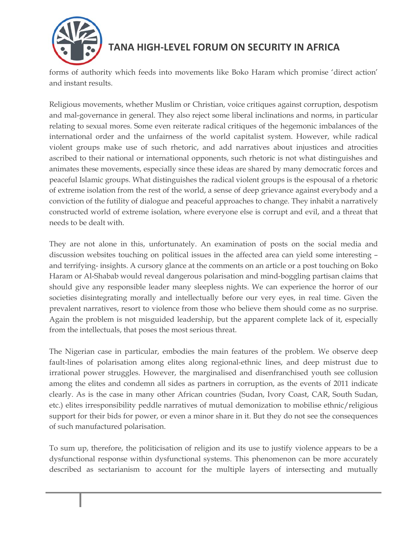

forms of authority which feeds into movements like Boko Haram which promise 'direct action' and instant results.

Religious movements, whether Muslim or Christian, voice critiques against corruption, despotism and mal-governance in general. They also reject some liberal inclinations and norms, in particular relating to sexual mores. Some even reiterate radical critiques of the hegemonic imbalances of the international order and the unfairness of the world capitalist system. However, while radical violent groups make use of such rhetoric, and add narratives about injustices and atrocities ascribed to their national or international opponents, such rhetoric is not what distinguishes and animates these movements, especially since these ideas are shared by many democratic forces and peaceful Islamic groups. What distinguishes the radical violent groups is the espousal of a rhetoric of extreme isolation from the rest of the world, a sense of deep grievance against everybody and a conviction of the futility of dialogue and peaceful approaches to change. They inhabit a narratively constructed world of extreme isolation, where everyone else is corrupt and evil, and a threat that needs to be dealt with.

They are not alone in this, unfortunately. An examination of posts on the social media and discussion websites touching on political issues in the affected area can yield some interesting – and terrifying- insights. A cursory glance at the comments on an article or a post touching on Boko Haram or Al-Shabab would reveal dangerous polarisation and mind-boggling partisan claims that should give any responsible leader many sleepless nights. We can experience the horror of our societies disintegrating morally and intellectually before our very eyes, in real time. Given the prevalent narratives, resort to violence from those who believe them should come as no surprise. Again the problem is not misguided leadership, but the apparent complete lack of it, especially from the intellectuals, that poses the most serious threat.

The Nigerian case in particular, embodies the main features of the problem. We observe deep fault-lines of polarisation among elites along regional-ethnic lines, and deep mistrust due to irrational power struggles. However, the marginalised and disenfranchised youth see collusion among the elites and condemn all sides as partners in corruption, as the events of 2011 indicate clearly. As is the case in many other African countries (Sudan, Ivory Coast, CAR, South Sudan, etc.) elites irresponsibility peddle narratives of mutual demonization to mobilise ethnic/religious support for their bids for power, or even a minor share in it. But they do not see the consequences of such manufactured polarisation.

To sum up, therefore, the politicisation of religion and its use to justify violence appears to be a dysfunctional response within dysfunctional systems. This phenomenon can be more accurately described as sectarianism to account for the multiple layers of intersecting and mutually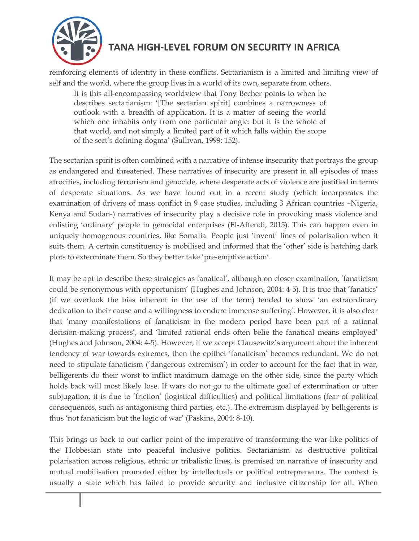

reinforcing elements of identity in these conflicts. Sectarianism is a limited and limiting view of self and the world, where the group lives in a world of its own, separate from others.

It is this all-encompassing worldview that Tony Becher points to when he describes sectarianism: '[The sectarian spirit] combines a narrowness of outlook with a breadth of application. It is a matter of seeing the world which one inhabits only from one particular angle: but it is the whole of that world, and not simply a limited part of it which falls within the scope of the sect's defining dogma' (Sullivan, 1999: 152).

The sectarian spirit is often combined with a narrative of intense insecurity that portrays the group as endangered and threatened. These narratives of insecurity are present in all episodes of mass atrocities, including terrorism and genocide, where desperate acts of violence are justified in terms of desperate situations. As we have found out in a recent study (which incorporates the examination of drivers of mass conflict in 9 case studies, including 3 African countries –Nigeria, Kenya and Sudan-) narratives of insecurity play a decisive role in provoking mass violence and enlisting 'ordinary' people in genocidal enterprises (El-Affendi, 2015). This can happen even in uniquely homogenous countries, like Somalia. People just 'invent' lines of polarisation when it suits them. A certain constituency is mobilised and informed that the 'other' side is hatching dark plots to exterminate them. So they better take 'pre-emptive action'.

It may be apt to describe these strategies as fanatical', although on closer examination, 'fanaticism could be synonymous with opportunism' (Hughes and Johnson, 2004: 4-5). It is true that 'fanatics' (if we overlook the bias inherent in the use of the term) tended to show 'an extraordinary dedication to their cause and a willingness to endure immense suffering'. However, it is also clear that 'many manifestations of fanaticism in the modern period have been part of a rational decision-making process', and 'limited rational ends often belie the fanatical means employed' (Hughes and Johnson, 2004: 4-5). However, if we accept Clausewitz's argument about the inherent tendency of war towards extremes, then the epithet 'fanaticism' becomes redundant. We do not need to stipulate fanaticism ('dangerous extremism') in order to account for the fact that in war, belligerents do their worst to inflict maximum damage on the other side, since the party which holds back will most likely lose. If wars do not go to the ultimate goal of extermination or utter subjugation, it is due to 'friction' (logistical difficulties) and political limitations (fear of political consequences, such as antagonising third parties, etc.). The extremism displayed by belligerents is thus 'not fanaticism but the logic of war' (Paskins, 2004: 8-10).

This brings us back to our earlier point of the imperative of transforming the war-like politics of the Hobbesian state into peaceful inclusive politics. Sectarianism as destructive political polarisation across religious, ethnic or tribalistic lines, is premised on narrative of insecurity and mutual mobilisation promoted either by intellectuals or political entrepreneurs. The context is usually a state which has failed to provide security and inclusive citizenship for all. When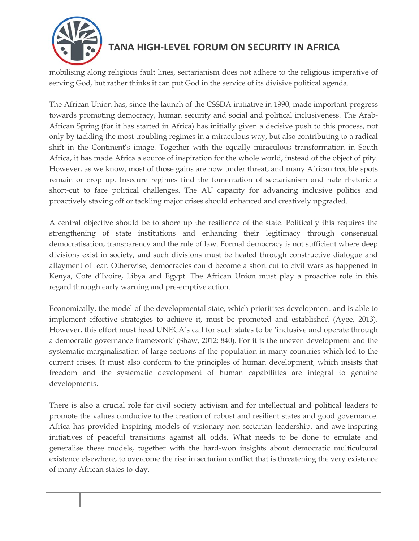

mobilising along religious fault lines, sectarianism does not adhere to the religious imperative of serving God, but rather thinks it can put God in the service of its divisive political agenda.

The African Union has, since the launch of the CSSDA initiative in 1990, made important progress towards promoting democracy, human security and social and political inclusiveness. The Arab-African Spring (for it has started in Africa) has initially given a decisive push to this process, not only by tackling the most troubling regimes in a miraculous way, but also contributing to a radical shift in the Continent's image. Together with the equally miraculous transformation in South Africa, it has made Africa a source of inspiration for the whole world, instead of the object of pity. However, as we know, most of those gains are now under threat, and many African trouble spots remain or crop up. Insecure regimes find the fomentation of sectarianism and hate rhetoric a short-cut to face political challenges. The AU capacity for advancing inclusive politics and proactively staving off or tackling major crises should enhanced and creatively upgraded.

A central objective should be to shore up the resilience of the state. Politically this requires the strengthening of state institutions and enhancing their legitimacy through consensual democratisation, transparency and the rule of law. Formal democracy is not sufficient where deep divisions exist in society, and such divisions must be healed through constructive dialogue and allayment of fear. Otherwise, democracies could become a short cut to civil wars as happened in Kenya, Cote d'Ivoire, Libya and Egypt. The African Union must play a proactive role in this regard through early warning and pre-emptive action.

Economically, the model of the developmental state, which prioritises development and is able to implement effective strategies to achieve it, must be promoted and established (Ayee, 2013). However, this effort must heed UNECA's call for such states to be 'inclusive and operate through a democratic governance framework' (Shaw, 2012: 840). For it is the uneven development and the systematic marginalisation of large sections of the population in many countries which led to the current crises. It must also conform to the principles of human development, which insists that freedom and the systematic development of human capabilities are integral to genuine developments.

There is also a crucial role for civil society activism and for intellectual and political leaders to promote the values conducive to the creation of robust and resilient states and good governance. Africa has provided inspiring models of visionary non-sectarian leadership, and awe-inspiring initiatives of peaceful transitions against all odds. What needs to be done to emulate and generalise these models, together with the hard-won insights about democratic multicultural existence elsewhere, to overcome the rise in sectarian conflict that is threatening the very existence of many African states to-day.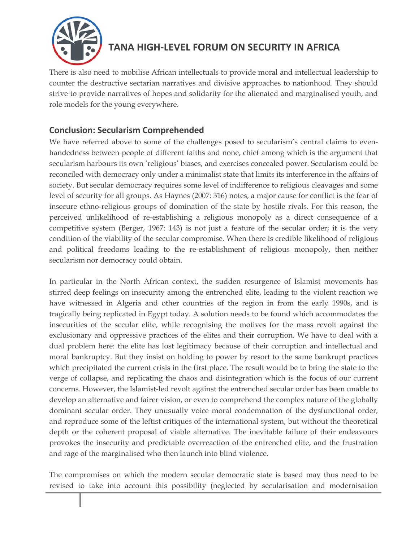

There is also need to mobilise African intellectuals to provide moral and intellectual leadership to counter the destructive sectarian narratives and divisive approaches to nationhood. They should strive to provide narratives of hopes and solidarity for the alienated and marginalised youth, and role models for the young everywhere.

#### **Conclusion: Secularism Comprehended**

We have referred above to some of the challenges posed to secularism's central claims to evenhandedness between people of different faiths and none, chief among which is the argument that secularism harbours its own 'religious' biases, and exercises concealed power. Secularism could be reconciled with democracy only under a minimalist state that limits its interference in the affairs of society. But secular democracy requires some level of indifference to religious cleavages and some level of security for all groups. As Haynes (2007: 316) notes, a major cause for conflict is the fear of insecure ethno-religious groups of domination of the state by hostile rivals. For this reason, the perceived unlikelihood of re-establishing a religious monopoly as a direct consequence of a competitive system (Berger, 1967: 143) is not just a feature of the secular order; it is the very condition of the viability of the secular compromise. When there is credible likelihood of religious and political freedoms leading to the re-establishment of religious monopoly, then neither secularism nor democracy could obtain.

In particular in the North African context, the sudden resurgence of Islamist movements has stirred deep feelings on insecurity among the entrenched elite, leading to the violent reaction we have witnessed in Algeria and other countries of the region in from the early 1990s, and is tragically being replicated in Egypt today. A solution needs to be found which accommodates the insecurities of the secular elite, while recognising the motives for the mass revolt against the exclusionary and oppressive practices of the elites and their corruption. We have to deal with a dual problem here: the elite has lost legitimacy because of their corruption and intellectual and moral bankruptcy. But they insist on holding to power by resort to the same bankrupt practices which precipitated the current crisis in the first place. The result would be to bring the state to the verge of collapse, and replicating the chaos and disintegration which is the focus of our current concerns. However, the Islamist-led revolt against the entrenched secular order has been unable to develop an alternative and fairer vision, or even to comprehend the complex nature of the globally dominant secular order. They unusually voice moral condemnation of the dysfunctional order, and reproduce some of the leftist critiques of the international system, but without the theoretical depth or the coherent proposal of viable alternative. The inevitable failure of their endeavours provokes the insecurity and predictable overreaction of the entrenched elite, and the frustration and rage of the marginalised who then launch into blind violence.

The compromises on which the modern secular democratic state is based may thus need to be revised to take into account this possibility (neglected by secularisation and modernisation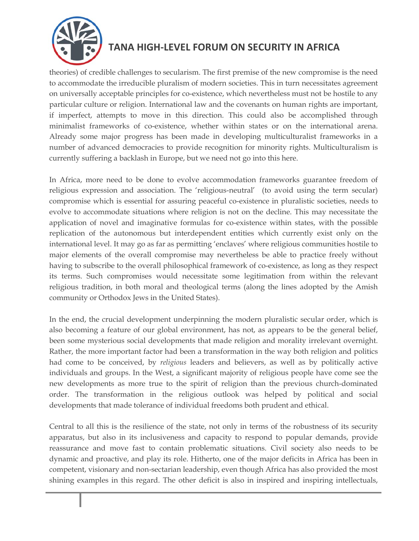

theories) of credible challenges to secularism. The first premise of the new compromise is the need to accommodate the irreducible pluralism of modern societies. This in turn necessitates agreement on universally acceptable principles for co-existence, which nevertheless must not be hostile to any particular culture or religion. International law and the covenants on human rights are important, if imperfect, attempts to move in this direction. This could also be accomplished through minimalist frameworks of co-existence, whether within states or on the international arena. Already some major progress has been made in developing multiculturalist frameworks in a number of advanced democracies to provide recognition for minority rights. Multiculturalism is currently suffering a backlash in Europe, but we need not go into this here.

In Africa, more need to be done to evolve accommodation frameworks guarantee freedom of religious expression and association. The 'religious-neutral' (to avoid using the term secular) compromise which is essential for assuring peaceful co-existence in pluralistic societies, needs to evolve to accommodate situations where religion is not on the decline. This may necessitate the application of novel and imaginative formulas for co-existence within states, with the possible replication of the autonomous but interdependent entities which currently exist only on the international level. It may go as far as permitting 'enclaves' where religious communities hostile to major elements of the overall compromise may nevertheless be able to practice freely without having to subscribe to the overall philosophical framework of co-existence, as long as they respect its terms. Such compromises would necessitate some legitimation from within the relevant religious tradition, in both moral and theological terms (along the lines adopted by the Amish community or Orthodox Jews in the United States).

In the end, the crucial development underpinning the modern pluralistic secular order, which is also becoming a feature of our global environment, has not, as appears to be the general belief, been some mysterious social developments that made religion and morality irrelevant overnight. Rather, the more important factor had been a transformation in the way both religion and politics had come to be conceived, by *religious* leaders and believers, as well as by politically active individuals and groups. In the West, a significant majority of religious people have come see the new developments as more true to the spirit of religion than the previous church-dominated order. The transformation in the religious outlook was helped by political and social developments that made tolerance of individual freedoms both prudent and ethical.

Central to all this is the resilience of the state, not only in terms of the robustness of its security apparatus, but also in its inclusiveness and capacity to respond to popular demands, provide reassurance and move fast to contain problematic situations. Civil society also needs to be dynamic and proactive, and play its role. Hitherto, one of the major deficits in Africa has been in competent, visionary and non-sectarian leadership, even though Africa has also provided the most shining examples in this regard. The other deficit is also in inspired and inspiring intellectuals,